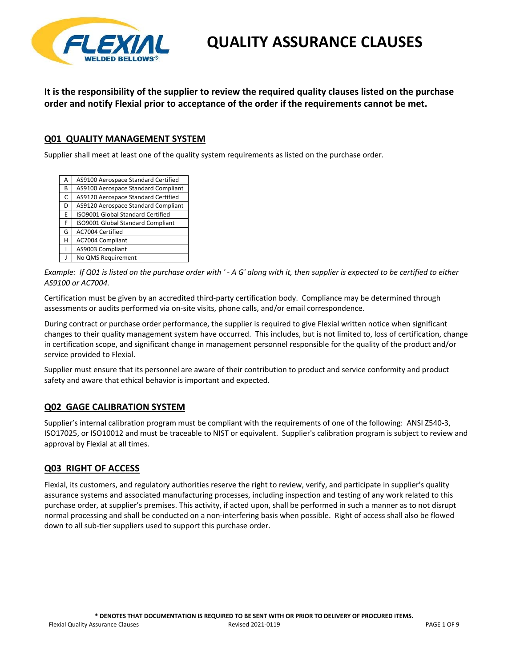

**It is the responsibility of the supplier to review the required quality clauses listed on the purchase order and notify Flexial prior to acceptance of the order if the requirements cannot be met.**

#### **Q01 QUALITY MANAGEMENT SYSTEM**

Supplier shall meet at least one of the quality system requirements as listed on the purchase order.

| Α | AS9100 Aerospace Standard Certified |
|---|-------------------------------------|
| в | AS9100 Aerospace Standard Compliant |
| C | AS9120 Aerospace Standard Certified |
| D | AS9120 Aerospace Standard Compliant |
| E | ISO9001 Global Standard Certified   |
| F | ISO9001 Global Standard Compliant   |
| G | AC7004 Certified                    |
| н | AC7004 Compliant                    |
|   | AS9003 Compliant                    |
|   | No QMS Requirement                  |
|   |                                     |

Example: If Q01 is listed on the purchase order with '-A G' along with it, then supplier is expected to be certified to either *AS9100 or AC7004.*

Certification must be given by an accredited third‐party certification body. Compliance may be determined through assessments or audits performed via on‐site visits, phone calls, and/or email correspondence.

During contract or purchase order performance, the supplier is required to give Flexial written notice when significant changes to their quality management system have occurred. This includes, but is not limited to, loss of certification, change in certification scope, and significant change in management personnel responsible for the quality of the product and/or service provided to Flexial.

Supplier must ensure that its personnel are aware of their contribution to product and service conformity and product safety and aware that ethical behavior is important and expected.

#### **Q02 GAGE CALIBRATION SYSTEM**

Supplier's internal calibration program must be compliant with the requirements of one of the following: ANSI Z540‐3, ISO17025, or ISO10012 and must be traceable to NIST or equivalent. Supplier's calibration program is subject to review and approval by Flexial at all times.

#### **Q03 RIGHT OF ACCESS**

Flexial, its customers, and regulatory authorities reserve the right to review, verify, and participate in supplier's quality assurance systems and associated manufacturing processes, including inspection and testing of any work related to this purchase order, at supplier's premises. This activity, if acted upon, shall be performed in such a manner as to not disrupt normal processing and shall be conducted on a non‐interfering basis when possible. Right of access shall also be flowed down to all sub-tier suppliers used to support this purchase order.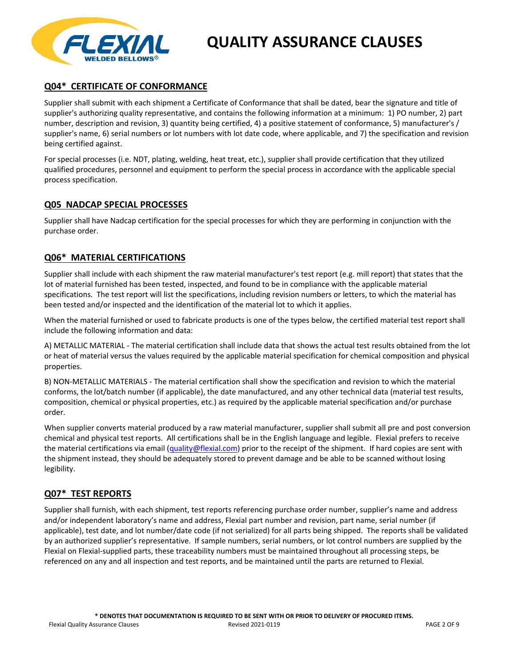

## **Q04\* CERTIFICATE OF CONFORMANCE**

Supplier shall submit with each shipment a Certificate of Conformance that shall be dated, bear the signature and title of supplier's authorizing quality representative, and contains the following information at a minimum: 1) PO number, 2) part number, description and revision, 3) quantity being certified, 4) a positive statement of conformance, 5) manufacturer's / supplier's name, 6) serial numbers or lot numbers with lot date code, where applicable, and 7) the specification and revision being certified against.

For special processes (i.e. NDT, plating, welding, heat treat, etc.), supplier shall provide certification that they utilized qualified procedures, personnel and equipment to perform the special process in accordance with the applicable special process specification.

#### **Q05 NADCAP SPECIAL PROCESSES**

Supplier shall have Nadcap certification for the special processes for which they are performing in conjunction with the purchase order.

## **Q06\* MATERIAL CERTIFICATIONS**

Supplier shall include with each shipment the raw material manufacturer's test report (e.g. mill report) that states that the lot of material furnished has been tested, inspected, and found to be in compliance with the applicable material specifications. The test report will list the specifications, including revision numbers or letters, to which the material has been tested and/or inspected and the identification of the material lot to which it applies.

When the material furnished or used to fabricate products is one of the types below, the certified material test report shall include the following information and data:

A) METALLIC MATERIAL ‐ The material certification shall include data that shows the actual test results obtained from the lot or heat of material versus the values required by the applicable material specification for chemical composition and physical properties.

B) NON‐METALLIC MATERIALS ‐ The material certification shall show the specification and revision to which the material conforms, the lot/batch number (if applicable), the date manufactured, and any other technical data (material test results, composition, chemical or physical properties, etc.) as required by the applicable material specification and/or purchase order.

When supplier converts material produced by a raw material manufacturer, supplier shall submit all pre and post conversion chemical and physical test reports. All certifications shall be in the English language and legible. Flexial prefers to receive the material certifications via email (quality@flexial.com) prior to the receipt of the shipment. If hard copies are sent with the shipment instead, they should be adequately stored to prevent damage and be able to be scanned without losing legibility.

#### **Q07\* TEST REPORTS**

Supplier shall furnish, with each shipment, test reports referencing purchase order number, supplier's name and address and/or independent laboratory's name and address, Flexial part number and revision, part name, serial number (if applicable), test date, and lot number/date code (if not serialized) for all parts being shipped. The reports shall be validated by an authorized supplier's representative. If sample numbers, serial numbers, or lot control numbers are supplied by the Flexial on Flexial‐supplied parts, these traceability numbers must be maintained throughout all processing steps, be referenced on any and all inspection and test reports, and be maintained until the parts are returned to Flexial.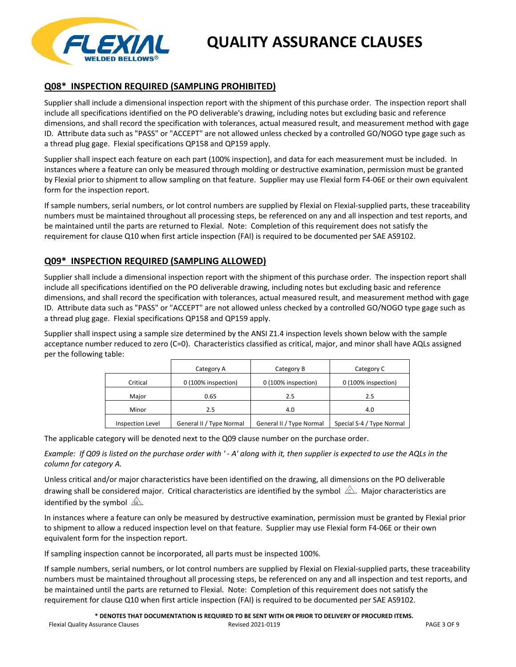

## **Q08\* INSPECTION REQUIRED (SAMPLING PROHIBITED)**

Supplier shall include a dimensional inspection report with the shipment of this purchase order. The inspection report shall include all specifications identified on the PO deliverable's drawing, including notes but excluding basic and reference dimensions, and shall record the specification with tolerances, actual measured result, and measurement method with gage ID. Attribute data such as "PASS" or "ACCEPT" are not allowed unless checked by a controlled GO/NOGO type gage such as a thread plug gage. Flexial specifications QP158 and QP159 apply.

Supplier shall inspect each feature on each part (100% inspection), and data for each measurement must be included. In instances where a feature can only be measured through molding or destructive examination, permission must be granted by Flexial prior to shipment to allow sampling on that feature. Supplier may use Flexial form F4‐06E or their own equivalent form for the inspection report.

If sample numbers, serial numbers, or lot control numbers are supplied by Flexial on Flexial‐supplied parts, these traceability numbers must be maintained throughout all processing steps, be referenced on any and all inspection and test reports, and be maintained until the parts are returned to Flexial. Note: Completion of this requirement does not satisfy the requirement for clause Q10 when first article inspection (FAI) is required to be documented per SAE AS9102.

## **Q09\* INSPECTION REQUIRED (SAMPLING ALLOWED)**

Supplier shall include a dimensional inspection report with the shipment of this purchase order. The inspection report shall include all specifications identified on the PO deliverable drawing, including notes but excluding basic and reference dimensions, and shall record the specification with tolerances, actual measured result, and measurement method with gage ID. Attribute data such as "PASS" or "ACCEPT" are not allowed unless checked by a controlled GO/NOGO type gage such as a thread plug gage. Flexial specifications QP158 and QP159 apply.

Supplier shall inspect using a sample size determined by the ANSI Z1.4 inspection levels shown below with the sample acceptance number reduced to zero (C=0). Characteristics classified as critical, major, and minor shall have AQLs assigned per the following table:

|                  | Category A               | Category B               | Category C                |
|------------------|--------------------------|--------------------------|---------------------------|
| Critical         | 0 (100% inspection)      | 0 (100% inspection)      | 0 (100% inspection)       |
| Major            | 0.65                     | 2.5                      | 2.5                       |
| Minor            | 2.5                      | 4.0                      | 4.0                       |
| Inspection Level | General II / Type Normal | General II / Type Normal | Special S-4 / Type Normal |

The applicable category will be denoted next to the Q09 clause number on the purchase order.

Example: If Q09 is listed on the purchase order with ' - A' along with it, then supplier is expected to use the AQLs in the *column for category A.*

Unless critical and/or major characteristics have been identified on the drawing, all dimensions on the PO deliverable drawing shall be considered major. Critical characteristics are identified by the symbol  $\triangle$ . Major characteristics are identified by the symbol  $\hat{A}$ .

In instances where a feature can only be measured by destructive examination, permission must be granted by Flexial prior to shipment to allow a reduced inspection level on that feature. Supplier may use Flexial form F4‐06E or their own equivalent form for the inspection report.

If sampling inspection cannot be incorporated, all parts must be inspected 100%.

If sample numbers, serial numbers, or lot control numbers are supplied by Flexial on Flexial-supplied parts, these traceability numbers must be maintained throughout all processing steps, be referenced on any and all inspection and test reports, and be maintained until the parts are returned to Flexial. Note: Completion of this requirement does not satisfy the requirement for clause Q10 when first article inspection (FAI) is required to be documented per SAE AS9102.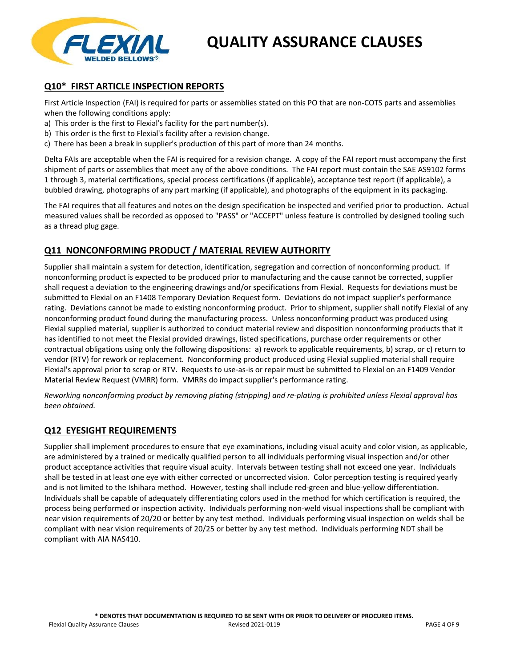

## **Q10\* FIRST ARTICLE INSPECTION REPORTS**

First Article Inspection (FAI) is required for parts or assemblies stated on this PO that are non‐COTS parts and assemblies when the following conditions apply:

- a) This order is the first to Flexial's facility for the part number(s).
- b) This order is the first to Flexial's facility after a revision change.
- c) There has been a break in supplier's production of this part of more than 24 months.

Delta FAIs are acceptable when the FAI is required for a revision change. A copy of the FAI report must accompany the first shipment of parts or assemblies that meet any of the above conditions. The FAI report must contain the SAE AS9102 forms 1 through 3, material certifications, special process certifications (if applicable), acceptance test report (if applicable), a bubbled drawing, photographs of any part marking (if applicable), and photographs of the equipment in its packaging.

The FAI requires that all features and notes on the design specification be inspected and verified prior to production. Actual measured values shall be recorded as opposed to "PASS" or "ACCEPT" unless feature is controlled by designed tooling such as a thread plug gage.

#### **Q11 NONCONFORMING PRODUCT / MATERIAL REVIEW AUTHORITY**

Supplier shall maintain a system for detection, identification, segregation and correction of nonconforming product. If nonconforming product is expected to be produced prior to manufacturing and the cause cannot be corrected, supplier shall request a deviation to the engineering drawings and/or specifications from Flexial. Requests for deviations must be submitted to Flexial on an F1408 Temporary Deviation Request form. Deviations do not impact supplier's performance rating. Deviations cannot be made to existing nonconforming product. Prior to shipment, supplier shall notify Flexial of any nonconforming product found during the manufacturing process. Unless nonconforming product was produced using Flexial supplied material, supplier is authorized to conduct material review and disposition nonconforming products that it has identified to not meet the Flexial provided drawings, listed specifications, purchase order requirements or other contractual obligations using only the following dispositions: a) rework to applicable requirements, b) scrap, or c) return to vendor (RTV) for rework or replacement. Nonconforming product produced using Flexial supplied material shall require Flexial's approval prior to scrap or RTV. Requests to use‐as‐is or repair must be submitted to Flexial on an F1409 Vendor Material Review Request (VMRR) form. VMRRs do impact supplier's performance rating.

Reworking nonconforming product by removing plating (stripping) and re-plating is prohibited unless Flexial approval has *been obtained.*

#### **Q12 EYESIGHT REQUIREMENTS**

Supplier shall implement procedures to ensure that eye examinations, including visual acuity and color vision, as applicable, are administered by a trained or medically qualified person to all individuals performing visual inspection and/or other product acceptance activities that require visual acuity. Intervals between testing shall not exceed one year. Individuals shall be tested in at least one eye with either corrected or uncorrected vision. Color perception testing is required yearly and is not limited to the Ishihara method. However, testing shall include red-green and blue-yellow differentiation. Individuals shall be capable of adequately differentiating colors used in the method for which certification is required, the process being performed or inspection activity. Individuals performing non‐weld visual inspections shall be compliant with near vision requirements of 20/20 or better by any test method. Individuals performing visual inspection on welds shall be compliant with near vision requirements of 20/25 or better by any test method. Individuals performing NDT shall be compliant with AIA NAS410.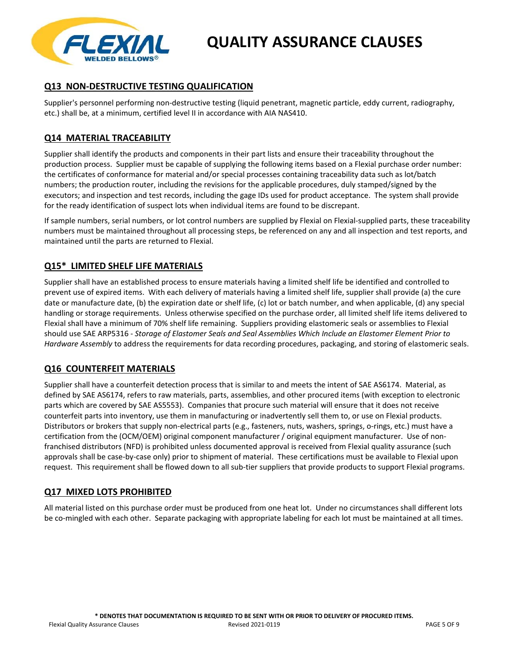

## **Q13 NON‐DESTRUCTIVE TESTING QUALIFICATION**

Supplier's personnel performing non‐destructive testing (liquid penetrant, magnetic particle, eddy current, radiography, etc.) shall be, at a minimum, certified level II in accordance with AIA NAS410.

#### **Q14 MATERIAL TRACEABILITY**

Supplier shall identify the products and components in their part lists and ensure their traceability throughout the production process. Supplier must be capable of supplying the following items based on a Flexial purchase order number: the certificates of conformance for material and/or special processes containing traceability data such as lot/batch numbers; the production router, including the revisions for the applicable procedures, duly stamped/signed by the executors; and inspection and test records, including the gage IDs used for product acceptance. The system shall provide for the ready identification of suspect lots when individual items are found to be discrepant.

If sample numbers, serial numbers, or lot control numbers are supplied by Flexial on Flexial-supplied parts, these traceability numbers must be maintained throughout all processing steps, be referenced on any and all inspection and test reports, and maintained until the parts are returned to Flexial.

## **Q15\* LIMITED SHELF LIFE MATERIALS**

Supplier shall have an established process to ensure materials having a limited shelf life be identified and controlled to prevent use of expired items. With each delivery of materials having a limited shelf life, supplier shall provide (a) the cure date or manufacture date, (b) the expiration date or shelf life, (c) lot or batch number, and when applicable, (d) any special handling or storage requirements. Unless otherwise specified on the purchase order, all limited shelf life items delivered to Flexial shall have a minimum of 70% shelf life remaining. Suppliers providing elastomeric seals or assemblies to Flexial should use SAE ARP5316 ‐ *Storage of Elastomer Seals and Seal Assemblies Which Include an Elastomer Element Prior to Hardware Assembly* to address the requirements for data recording procedures, packaging, and storing of elastomeric seals.

#### **Q16 COUNTERFEIT MATERIALS**

Supplier shall have a counterfeit detection process that is similar to and meets the intent of SAE AS6174. Material, as defined by SAE AS6174, refers to raw materials, parts, assemblies, and other procured items (with exception to electronic parts which are covered by SAE AS5553). Companies that procure such material will ensure that it does not receive counterfeit parts into inventory, use them in manufacturing or inadvertently sell them to, or use on Flexial products. Distributors or brokers that supply non‐electrical parts (e.g., fasteners, nuts, washers, springs, o‐rings, etc.) must have a certification from the (OCM/OEM) original component manufacturer / original equipment manufacturer. Use of non‐ franchised distributors (NFD) is prohibited unless documented approval is received from Flexial quality assurance (such approvals shall be case‐by‐case only) prior to shipment of material. These certifications must be available to Flexial upon request. This requirement shall be flowed down to all sub-tier suppliers that provide products to support Flexial programs.

#### **Q17 MIXED LOTS PROHIBITED**

All material listed on this purchase order must be produced from one heat lot. Under no circumstances shall different lots be co-mingled with each other. Separate packaging with appropriate labeling for each lot must be maintained at all times.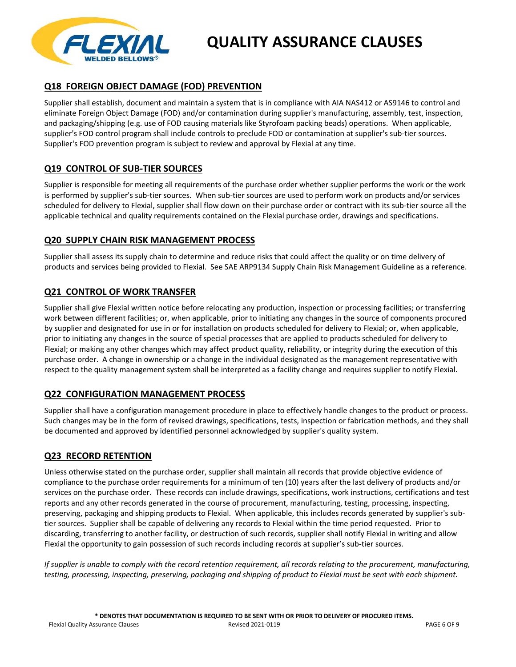

## **Q18 FOREIGN OBJECT DAMAGE (FOD) PREVENTION**

Supplier shall establish, document and maintain a system that is in compliance with AIA NAS412 or AS9146 to control and eliminate Foreign Object Damage (FOD) and/or contamination during supplier's manufacturing, assembly, test, inspection, and packaging/shipping (e.g. use of FOD causing materials like Styrofoam packing beads) operations. When applicable, supplier's FOD control program shall include controls to preclude FOD or contamination at supplier's sub-tier sources. Supplier's FOD prevention program is subject to review and approval by Flexial at any time.

## **Q19 CONTROL OF SUB‐TIER SOURCES**

Supplier is responsible for meeting all requirements of the purchase order whether supplier performs the work or the work is performed by supplier's sub‐tier sources. When sub‐tier sources are used to perform work on products and/or services scheduled for delivery to Flexial, supplier shall flow down on their purchase order or contract with its sub-tier source all the applicable technical and quality requirements contained on the Flexial purchase order, drawings and specifications.

## **Q20 SUPPLY CHAIN RISK MANAGEMENT PROCESS**

Supplier shall assess its supply chain to determine and reduce risks that could affect the quality or on time delivery of products and services being provided to Flexial. See SAE ARP9134 Supply Chain Risk Management Guideline as a reference.

## **Q21 CONTROL OF WORK TRANSFER**

Supplier shall give Flexial written notice before relocating any production, inspection or processing facilities; or transferring work between different facilities; or, when applicable, prior to initiating any changes in the source of components procured by supplier and designated for use in or for installation on products scheduled for delivery to Flexial; or, when applicable, prior to initiating any changes in the source of special processes that are applied to products scheduled for delivery to Flexial; or making any other changes which may affect product quality, reliability, or integrity during the execution of this purchase order. A change in ownership or a change in the individual designated as the management representative with respect to the quality management system shall be interpreted as a facility change and requires supplier to notify Flexial.

## **Q22 CONFIGURATION MANAGEMENT PROCESS**

Supplier shall have a configuration management procedure in place to effectively handle changes to the product or process. Such changes may be in the form of revised drawings, specifications, tests, inspection or fabrication methods, and they shall be documented and approved by identified personnel acknowledged by supplier's quality system.

## **Q23 RECORD RETENTION**

Unless otherwise stated on the purchase order, supplier shall maintain all records that provide objective evidence of compliance to the purchase order requirements for a minimum of ten (10) years after the last delivery of products and/or services on the purchase order. These records can include drawings, specifications, work instructions, certifications and test reports and any other records generated in the course of procurement, manufacturing, testing, processing, inspecting, preserving, packaging and shipping products to Flexial. When applicable, this includes records generated by supplier's subtier sources. Supplier shall be capable of delivering any records to Flexial within the time period requested. Prior to discarding, transferring to another facility, or destruction of such records, supplier shall notify Flexial in writing and allow Flexial the opportunity to gain possession of such records including records at supplier's sub‐tier sources.

If supplier is unable to comply with the record retention requirement, all records relating to the procurement, manufacturing, testing, processing, inspecting, preserving, packaging and shipping of product to Flexial must be sent with each shipment.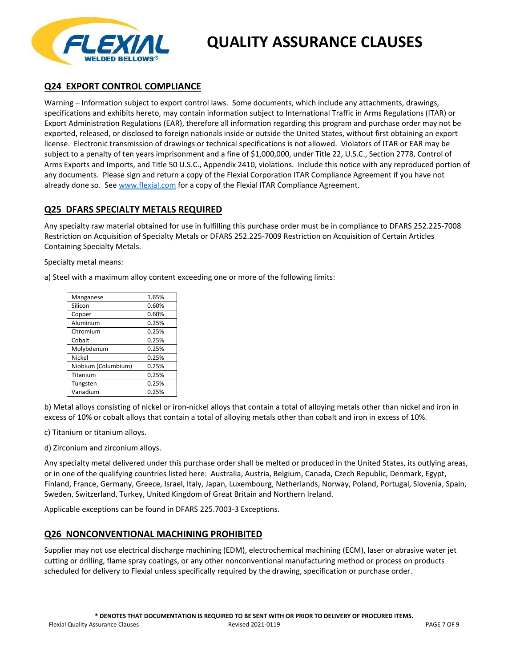

## **Q24 EXPORT CONTROL COMPLIANCE**

Warning – Information subject to export control laws. Some documents, which include any attachments, drawings, specifications and exhibits hereto, may contain information subject to International Traffic in Arms Regulations (ITAR) or Export Administration Regulations (EAR), therefore all information regarding this program and purchase order may not be exported, released, or disclosed to foreign nationals inside or outside the United States, without first obtaining an export license. Electronic transmission of drawings or technical specifications is not allowed. Violators of ITAR or EAR may be subject to a penalty of ten years imprisonment and a fine of \$1,000,000, under Title 22, U.S.C., Section 2778, Control of Arms Exports and Imports, and Title 50 U.S.C., Appendix 2410, violations. Include this notice with any reproduced portion of any documents. Please sign and return a copy of the Flexial Corporation ITAR Compliance Agreement if you have not already done so. See www.flexial.com for a copy of the Flexial ITAR Compliance Agreement.

#### **Q25 DFARS SPECIALTY METALS REQUIRED**

Any specialty raw material obtained for use in fulfilling this purchase order must be in compliance to DFARS 252.225‐7008 Restriction on Acquisition of Specialty Metals or DFARS 252.225‐7009 Restriction on Acquisition of Certain Articles Containing Specialty Metals.

Specialty metal means:

a) Steel with a maximum alloy content exceeding one or more of the following limits:

| Manganese           | 1.65% |
|---------------------|-------|
| Silicon             | 0.60% |
| Copper              | 0.60% |
| Aluminum            | 0.25% |
| Chromium            | 0.25% |
| Cobalt              | 0.25% |
| Molybdenum          | 0.25% |
| Nickel              | 0.25% |
| Niobium (Columbium) | 0.25% |
| Titanium            | 0.25% |
| Tungsten            | 0.25% |
| Vanadium            | 0.25% |

b) Metal alloys consisting of nickel or iron‐nickel alloys that contain a total of alloying metals other than nickel and iron in excess of 10% or cobalt alloys that contain a total of alloying metals other than cobalt and iron in excess of 10%.

c) Titanium or titanium alloys.

d) Zirconium and zirconium alloys.

Any specialty metal delivered under this purchase order shall be melted or produced in the United States, its outlying areas, or in one of the qualifying countries listed here: Australia, Austria, Belgium, Canada, Czech Republic, Denmark, Egypt, Finland, France, Germany, Greece, Israel, Italy, Japan, Luxembourg, Netherlands, Norway, Poland, Portugal, Slovenia, Spain, Sweden, Switzerland, Turkey, United Kingdom of Great Britain and Northern Ireland.

Applicable exceptions can be found in DFARS 225.7003‐3 Exceptions.

#### **Q26 NONCONVENTIONAL MACHINING PROHIBITED**

Supplier may not use electrical discharge machining (EDM), electrochemical machining (ECM), laser or abrasive water jet cutting or drilling, flame spray coatings, or any other nonconventional manufacturing method or process on products scheduled for delivery to Flexial unless specifically required by the drawing, specification or purchase order.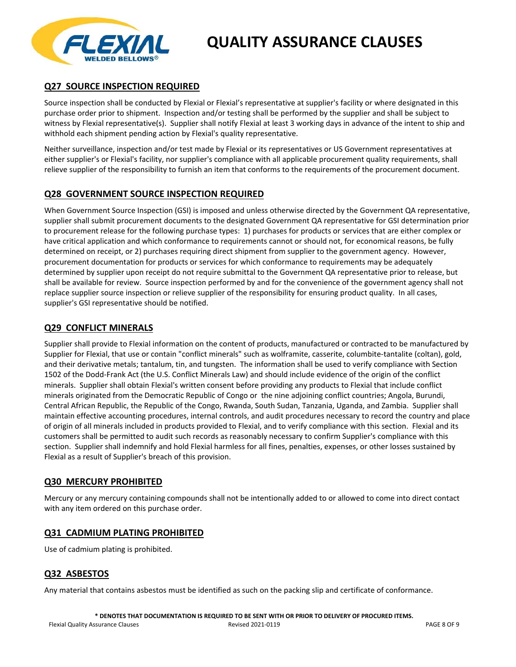

## **Q27 SOURCE INSPECTION REQUIRED**

Source inspection shall be conducted by Flexial or Flexial's representative at supplier's facility or where designated in this purchase order prior to shipment. Inspection and/or testing shall be performed by the supplier and shall be subject to witness by Flexial representative(s). Supplier shall notify Flexial at least 3 working days in advance of the intent to ship and withhold each shipment pending action by Flexial's quality representative.

Neither surveillance, inspection and/or test made by Flexial or its representatives or US Government representatives at either supplier's or Flexial's facility, nor supplier's compliance with all applicable procurement quality requirements, shall relieve supplier of the responsibility to furnish an item that conforms to the requirements of the procurement document.

## **Q28 GOVERNMENT SOURCE INSPECTION REQUIRED**

When Government Source Inspection (GSI) is imposed and unless otherwise directed by the Government QA representative, supplier shall submit procurement documents to the designated Government QA representative for GSI determination prior to procurement release for the following purchase types: 1) purchases for products or services that are either complex or have critical application and which conformance to requirements cannot or should not, for economical reasons, be fully determined on receipt, or 2) purchases requiring direct shipment from supplier to the government agency. However, procurement documentation for products or services for which conformance to requirements may be adequately determined by supplier upon receipt do not require submittal to the Government QA representative prior to release, but shall be available for review. Source inspection performed by and for the convenience of the government agency shall not replace supplier source inspection or relieve supplier of the responsibility for ensuring product quality. In all cases, supplier's GSI representative should be notified.

#### **Q29 CONFLICT MINERALS**

Supplier shall provide to Flexial information on the content of products, manufactured or contracted to be manufactured by Supplier for Flexial, that use or contain "conflict minerals" such as wolframite, casserite, columbite‐tantalite (coltan), gold, and their derivative metals; tantalum, tin, and tungsten. The information shall be used to verify compliance with Section 1502 of the Dodd‐Frank Act (the U.S. Conflict Minerals Law) and should include evidence of the origin of the conflict minerals. Supplier shall obtain Flexial's written consent before providing any products to Flexial that include conflict minerals originated from the Democratic Republic of Congo or the nine adjoining conflict countries; Angola, Burundi, Central African Republic, the Republic of the Congo, Rwanda, South Sudan, Tanzania, Uganda, and Zambia. Supplier shall maintain effective accounting procedures, internal controls, and audit procedures necessary to record the country and place of origin of all minerals included in products provided to Flexial, and to verify compliance with this section. Flexial and its customers shall be permitted to audit such records as reasonably necessary to confirm Supplier's compliance with this section. Supplier shall indemnify and hold Flexial harmless for all fines, penalties, expenses, or other losses sustained by Flexial as a result of Supplier's breach of this provision.

#### **Q30 MERCURY PROHIBITED**

Mercury or any mercury containing compounds shall not be intentionally added to or allowed to come into direct contact with any item ordered on this purchase order.

#### **Q31 CADMIUM PLATING PROHIBITED**

Use of cadmium plating is prohibited.

## **Q32 ASBESTOS**

Any material that contains asbestos must be identified as such on the packing slip and certificate of conformance.